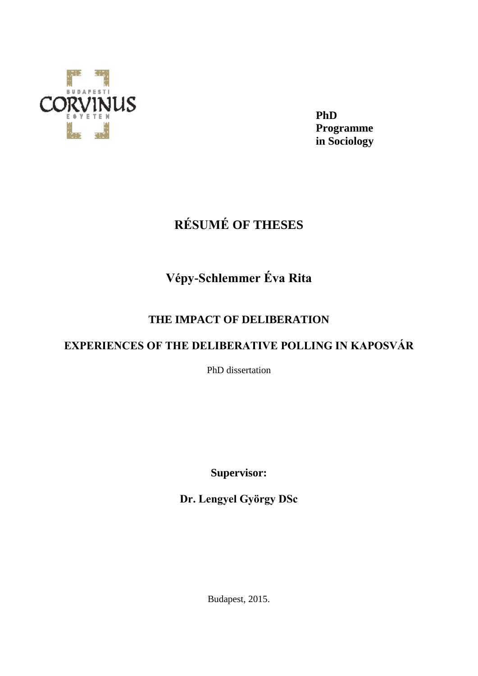

**PhD Programme in Sociology**

# **RÉSUMÉ OF THESES**

## **Vépy-Schlemmer Éva Rita**

### **THE IMPACT OF DELIBERATION**

### **EXPERIENCES OF THE DELIBERATIVE POLLING IN KAPOSVÁR**

PhD dissertation

**Supervisor:**

**Dr. Lengyel György DSc**

Budapest, 2015.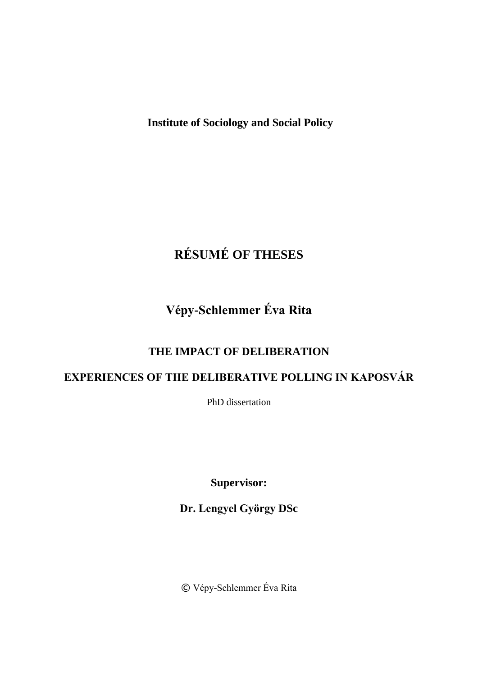**Institute of Sociology and Social Policy**

# **RÉSUMÉ OF THESES**

## **Vépy-Schlemmer Éva Rita**

### **THE IMPACT OF DELIBERATION**

### **EXPERIENCES OF THE DELIBERATIVE POLLING IN KAPOSVÁR**

PhD dissertation

**Supervisor:**

**Dr. Lengyel György DSc**

© Vépy-Schlemmer Éva Rita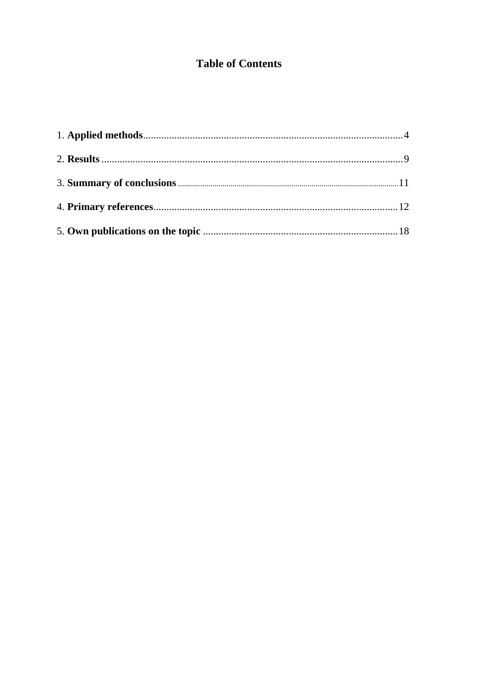### **Table of Contents**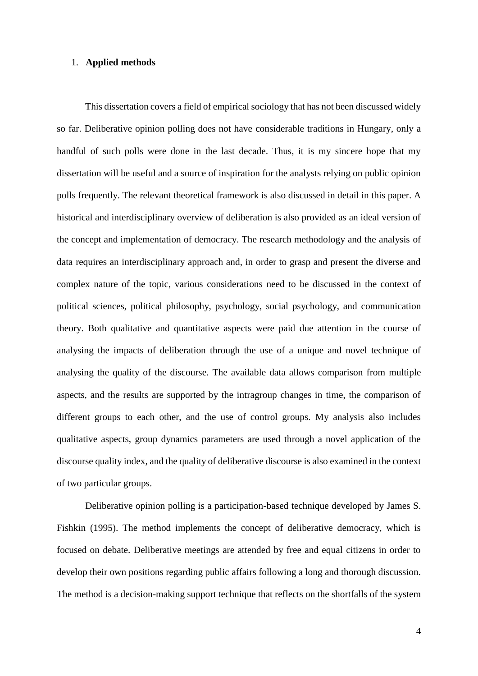#### 1. **Applied methods**

This dissertation covers a field of empirical sociology that has not been discussed widely so far. Deliberative opinion polling does not have considerable traditions in Hungary, only a handful of such polls were done in the last decade. Thus, it is my sincere hope that my dissertation will be useful and a source of inspiration for the analysts relying on public opinion polls frequently. The relevant theoretical framework is also discussed in detail in this paper. A historical and interdisciplinary overview of deliberation is also provided as an ideal version of the concept and implementation of democracy. The research methodology and the analysis of data requires an interdisciplinary approach and, in order to grasp and present the diverse and complex nature of the topic, various considerations need to be discussed in the context of political sciences, political philosophy, psychology, social psychology, and communication theory. Both qualitative and quantitative aspects were paid due attention in the course of analysing the impacts of deliberation through the use of a unique and novel technique of analysing the quality of the discourse. The available data allows comparison from multiple aspects, and the results are supported by the intragroup changes in time, the comparison of different groups to each other, and the use of control groups. My analysis also includes qualitative aspects, group dynamics parameters are used through a novel application of the discourse quality index, and the quality of deliberative discourse is also examined in the context of two particular groups.

Deliberative opinion polling is a participation-based technique developed by James S. Fishkin (1995). The method implements the concept of deliberative democracy, which is focused on debate. Deliberative meetings are attended by free and equal citizens in order to develop their own positions regarding public affairs following a long and thorough discussion. The method is a decision-making support technique that reflects on the shortfalls of the system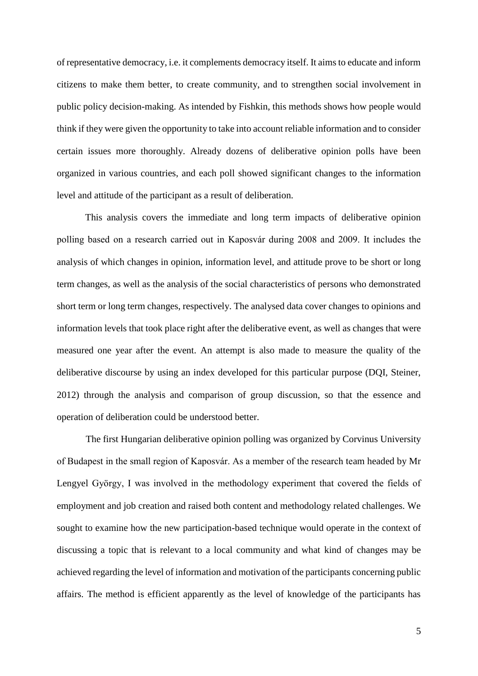of representative democracy, i.e. it complements democracy itself. It aims to educate and inform citizens to make them better, to create community, and to strengthen social involvement in public policy decision-making. As intended by Fishkin, this methods shows how people would think if they were given the opportunity to take into account reliable information and to consider certain issues more thoroughly. Already dozens of deliberative opinion polls have been organized in various countries, and each poll showed significant changes to the information level and attitude of the participant as a result of deliberation.

This analysis covers the immediate and long term impacts of deliberative opinion polling based on a research carried out in Kaposvár during 2008 and 2009. It includes the analysis of which changes in opinion, information level, and attitude prove to be short or long term changes, as well as the analysis of the social characteristics of persons who demonstrated short term or long term changes, respectively. The analysed data cover changes to opinions and information levels that took place right after the deliberative event, as well as changes that were measured one year after the event. An attempt is also made to measure the quality of the deliberative discourse by using an index developed for this particular purpose (DQI, Steiner, 2012) through the analysis and comparison of group discussion, so that the essence and operation of deliberation could be understood better.

The first Hungarian deliberative opinion polling was organized by Corvinus University of Budapest in the small region of Kaposvár. As a member of the research team headed by Mr Lengyel György, I was involved in the methodology experiment that covered the fields of employment and job creation and raised both content and methodology related challenges. We sought to examine how the new participation-based technique would operate in the context of discussing a topic that is relevant to a local community and what kind of changes may be achieved regarding the level of information and motivation of the participants concerning public affairs. The method is efficient apparently as the level of knowledge of the participants has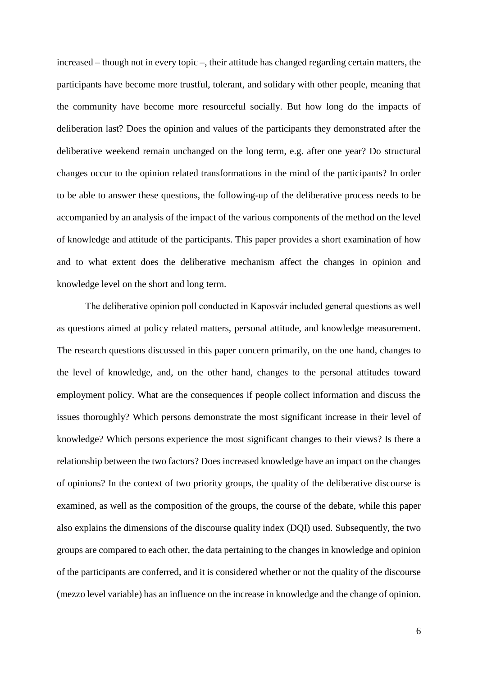increased – though not in every topic –, their attitude has changed regarding certain matters, the participants have become more trustful, tolerant, and solidary with other people, meaning that the community have become more resourceful socially. But how long do the impacts of deliberation last? Does the opinion and values of the participants they demonstrated after the deliberative weekend remain unchanged on the long term, e.g. after one year? Do structural changes occur to the opinion related transformations in the mind of the participants? In order to be able to answer these questions, the following-up of the deliberative process needs to be accompanied by an analysis of the impact of the various components of the method on the level of knowledge and attitude of the participants. This paper provides a short examination of how and to what extent does the deliberative mechanism affect the changes in opinion and knowledge level on the short and long term.

The deliberative opinion poll conducted in Kaposvár included general questions as well as questions aimed at policy related matters, personal attitude, and knowledge measurement. The research questions discussed in this paper concern primarily, on the one hand, changes to the level of knowledge, and, on the other hand, changes to the personal attitudes toward employment policy. What are the consequences if people collect information and discuss the issues thoroughly? Which persons demonstrate the most significant increase in their level of knowledge? Which persons experience the most significant changes to their views? Is there a relationship between the two factors? Does increased knowledge have an impact on the changes of opinions? In the context of two priority groups, the quality of the deliberative discourse is examined, as well as the composition of the groups, the course of the debate, while this paper also explains the dimensions of the discourse quality index (DQI) used. Subsequently, the two groups are compared to each other, the data pertaining to the changes in knowledge and opinion of the participants are conferred, and it is considered whether or not the quality of the discourse (mezzo level variable) has an influence on the increase in knowledge and the change of opinion.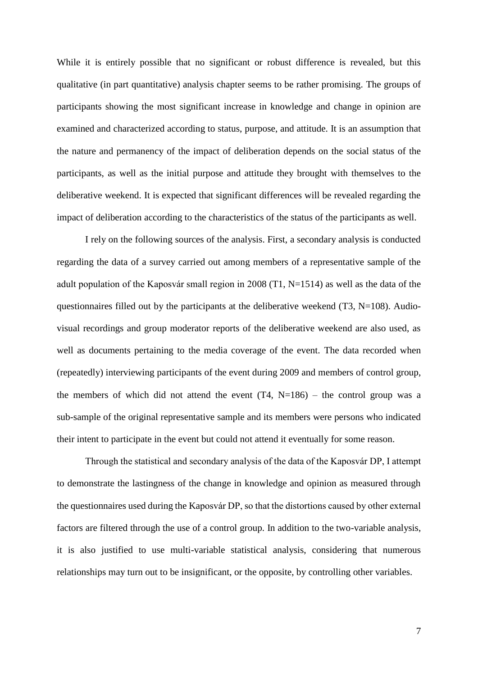While it is entirely possible that no significant or robust difference is revealed, but this qualitative (in part quantitative) analysis chapter seems to be rather promising. The groups of participants showing the most significant increase in knowledge and change in opinion are examined and characterized according to status, purpose, and attitude. It is an assumption that the nature and permanency of the impact of deliberation depends on the social status of the participants, as well as the initial purpose and attitude they brought with themselves to the deliberative weekend. It is expected that significant differences will be revealed regarding the impact of deliberation according to the characteristics of the status of the participants as well.

I rely on the following sources of the analysis. First, a secondary analysis is conducted regarding the data of a survey carried out among members of a representative sample of the adult population of the Kaposvár small region in 2008 (T1, N=1514) as well as the data of the questionnaires filled out by the participants at the deliberative weekend  $(T3, N=108)$ . Audiovisual recordings and group moderator reports of the deliberative weekend are also used, as well as documents pertaining to the media coverage of the event. The data recorded when (repeatedly) interviewing participants of the event during 2009 and members of control group, the members of which did not attend the event  $(T4, N=186)$  – the control group was a sub-sample of the original representative sample and its members were persons who indicated their intent to participate in the event but could not attend it eventually for some reason.

Through the statistical and secondary analysis of the data of the Kaposvár DP, I attempt to demonstrate the lastingness of the change in knowledge and opinion as measured through the questionnaires used during the Kaposvár DP, so that the distortions caused by other external factors are filtered through the use of a control group. In addition to the two-variable analysis, it is also justified to use multi-variable statistical analysis, considering that numerous relationships may turn out to be insignificant, or the opposite, by controlling other variables.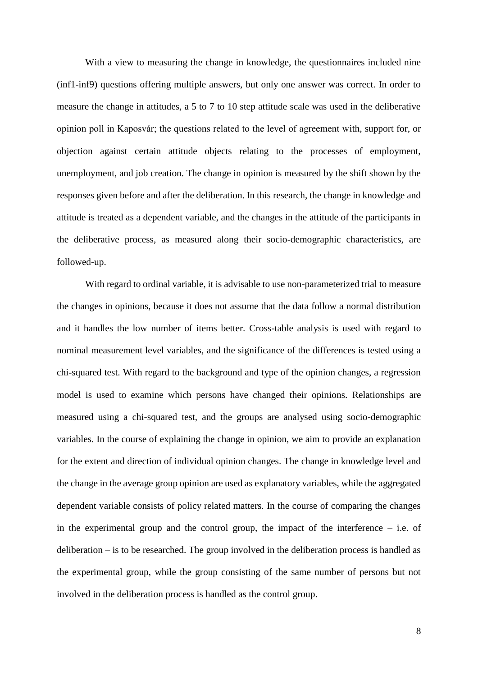With a view to measuring the change in knowledge, the questionnaires included nine (inf1-inf9) questions offering multiple answers, but only one answer was correct. In order to measure the change in attitudes, a 5 to 7 to 10 step attitude scale was used in the deliberative opinion poll in Kaposvár; the questions related to the level of agreement with, support for, or objection against certain attitude objects relating to the processes of employment, unemployment, and job creation. The change in opinion is measured by the shift shown by the responses given before and after the deliberation. In this research, the change in knowledge and attitude is treated as a dependent variable, and the changes in the attitude of the participants in the deliberative process, as measured along their socio-demographic characteristics, are followed-up.

With regard to ordinal variable, it is advisable to use non-parameterized trial to measure the changes in opinions, because it does not assume that the data follow a normal distribution and it handles the low number of items better. Cross-table analysis is used with regard to nominal measurement level variables, and the significance of the differences is tested using a chi-squared test. With regard to the background and type of the opinion changes, a regression model is used to examine which persons have changed their opinions. Relationships are measured using a chi-squared test, and the groups are analysed using socio-demographic variables. In the course of explaining the change in opinion, we aim to provide an explanation for the extent and direction of individual opinion changes. The change in knowledge level and the change in the average group opinion are used as explanatory variables, while the aggregated dependent variable consists of policy related matters. In the course of comparing the changes in the experimental group and the control group, the impact of the interference – i.e. of deliberation – is to be researched. The group involved in the deliberation process is handled as the experimental group, while the group consisting of the same number of persons but not involved in the deliberation process is handled as the control group.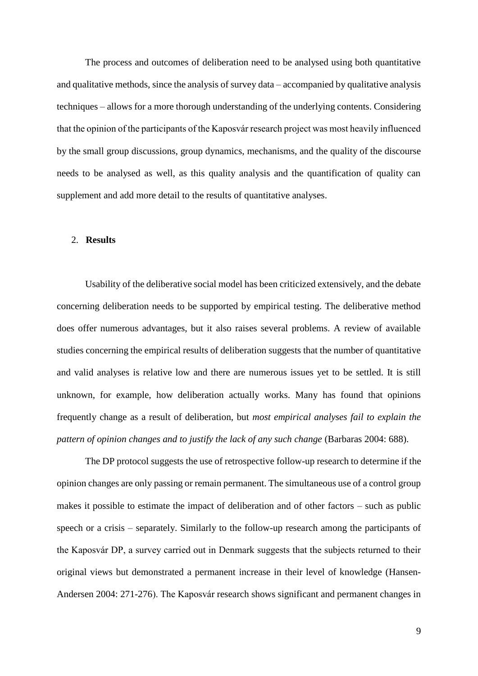The process and outcomes of deliberation need to be analysed using both quantitative and qualitative methods, since the analysis of survey data – accompanied by qualitative analysis techniques – allows for a more thorough understanding of the underlying contents. Considering that the opinion of the participants of the Kaposvár research project was most heavily influenced by the small group discussions, group dynamics, mechanisms, and the quality of the discourse needs to be analysed as well, as this quality analysis and the quantification of quality can supplement and add more detail to the results of quantitative analyses.

#### 2. **Results**

Usability of the deliberative social model has been criticized extensively, and the debate concerning deliberation needs to be supported by empirical testing. The deliberative method does offer numerous advantages, but it also raises several problems. A review of available studies concerning the empirical results of deliberation suggests that the number of quantitative and valid analyses is relative low and there are numerous issues yet to be settled. It is still unknown, for example, how deliberation actually works. Many has found that opinions frequently change as a result of deliberation, but *most empirical analyses fail to explain the pattern of opinion changes and to justify the lack of any such change* (Barbaras 2004: 688).

The DP protocol suggests the use of retrospective follow-up research to determine if the opinion changes are only passing or remain permanent. The simultaneous use of a control group makes it possible to estimate the impact of deliberation and of other factors – such as public speech or a crisis – separately. Similarly to the follow-up research among the participants of the Kaposvár DP, a survey carried out in Denmark suggests that the subjects returned to their original views but demonstrated a permanent increase in their level of knowledge (Hansen-Andersen 2004: 271-276). The Kaposvár research shows significant and permanent changes in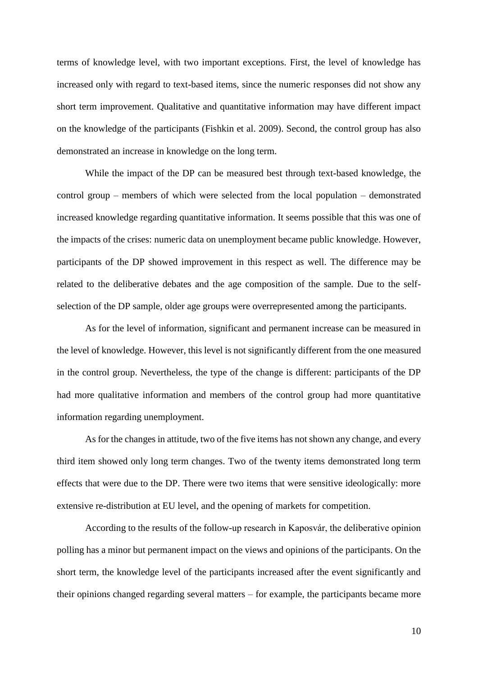terms of knowledge level, with two important exceptions. First, the level of knowledge has increased only with regard to text-based items, since the numeric responses did not show any short term improvement. Qualitative and quantitative information may have different impact on the knowledge of the participants (Fishkin et al. 2009). Second, the control group has also demonstrated an increase in knowledge on the long term.

While the impact of the DP can be measured best through text-based knowledge, the control group – members of which were selected from the local population – demonstrated increased knowledge regarding quantitative information. It seems possible that this was one of the impacts of the crises: numeric data on unemployment became public knowledge. However, participants of the DP showed improvement in this respect as well. The difference may be related to the deliberative debates and the age composition of the sample. Due to the selfselection of the DP sample, older age groups were overrepresented among the participants.

As for the level of information, significant and permanent increase can be measured in the level of knowledge. However, this level is not significantly different from the one measured in the control group. Nevertheless, the type of the change is different: participants of the DP had more qualitative information and members of the control group had more quantitative information regarding unemployment.

As for the changes in attitude, two of the five items has not shown any change, and every third item showed only long term changes. Two of the twenty items demonstrated long term effects that were due to the DP. There were two items that were sensitive ideologically: more extensive re-distribution at EU level, and the opening of markets for competition.

According to the results of the follow-up research in Kaposvár, the deliberative opinion polling has a minor but permanent impact on the views and opinions of the participants. On the short term, the knowledge level of the participants increased after the event significantly and their opinions changed regarding several matters – for example, the participants became more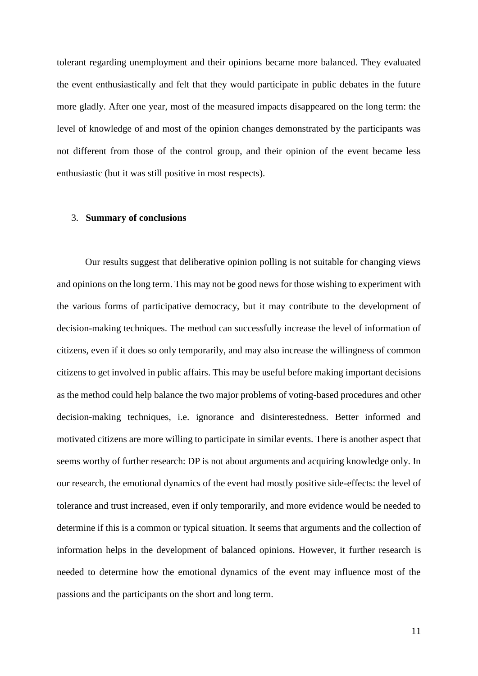tolerant regarding unemployment and their opinions became more balanced. They evaluated the event enthusiastically and felt that they would participate in public debates in the future more gladly. After one year, most of the measured impacts disappeared on the long term: the level of knowledge of and most of the opinion changes demonstrated by the participants was not different from those of the control group, and their opinion of the event became less enthusiastic (but it was still positive in most respects).

#### 3. **Summary of conclusions**

Our results suggest that deliberative opinion polling is not suitable for changing views and opinions on the long term. This may not be good news for those wishing to experiment with the various forms of participative democracy, but it may contribute to the development of decision-making techniques. The method can successfully increase the level of information of citizens, even if it does so only temporarily, and may also increase the willingness of common citizens to get involved in public affairs. This may be useful before making important decisions as the method could help balance the two major problems of voting-based procedures and other decision-making techniques, i.e. ignorance and disinterestedness. Better informed and motivated citizens are more willing to participate in similar events. There is another aspect that seems worthy of further research: DP is not about arguments and acquiring knowledge only. In our research, the emotional dynamics of the event had mostly positive side-effects: the level of tolerance and trust increased, even if only temporarily, and more evidence would be needed to determine if this is a common or typical situation. It seems that arguments and the collection of information helps in the development of balanced opinions. However, it further research is needed to determine how the emotional dynamics of the event may influence most of the passions and the participants on the short and long term.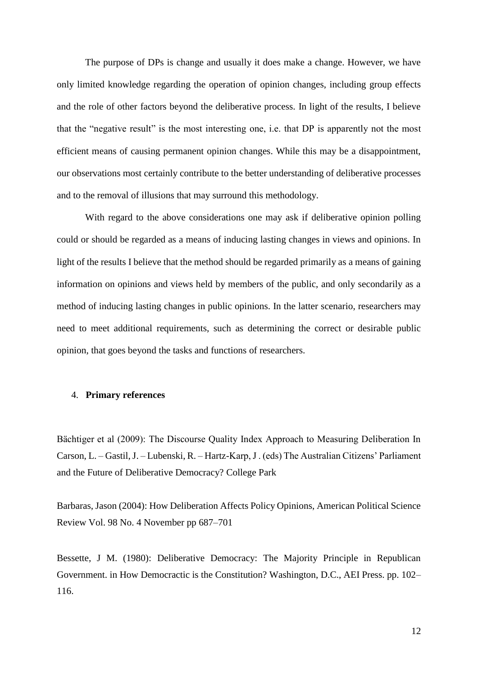The purpose of DPs is change and usually it does make a change. However, we have only limited knowledge regarding the operation of opinion changes, including group effects and the role of other factors beyond the deliberative process. In light of the results, I believe that the "negative result" is the most interesting one, i.e. that DP is apparently not the most efficient means of causing permanent opinion changes. While this may be a disappointment, our observations most certainly contribute to the better understanding of deliberative processes and to the removal of illusions that may surround this methodology.

With regard to the above considerations one may ask if deliberative opinion polling could or should be regarded as a means of inducing lasting changes in views and opinions. In light of the results I believe that the method should be regarded primarily as a means of gaining information on opinions and views held by members of the public, and only secondarily as a method of inducing lasting changes in public opinions. In the latter scenario, researchers may need to meet additional requirements, such as determining the correct or desirable public opinion, that goes beyond the tasks and functions of researchers.

#### 4. **Primary references**

Bächtiger et al (2009): The Discourse Quality Index Approach to Measuring Deliberation In Carson, L. – Gastil, J. – Lubenski, R. – Hartz-Karp, J . (eds) The Australian Citizens' Parliament and the Future of Deliberative Democracy? College Park

Barbaras, Jason (2004): How Deliberation Affects Policy Opinions, American Political Science Review Vol. 98 No. 4 November pp 687–701

Bessette, J M. (1980): Deliberative Democracy: The Majority Principle in Republican Government. in How Democractic is the Constitution? Washington, D.C., AEI Press. pp. 102– 116.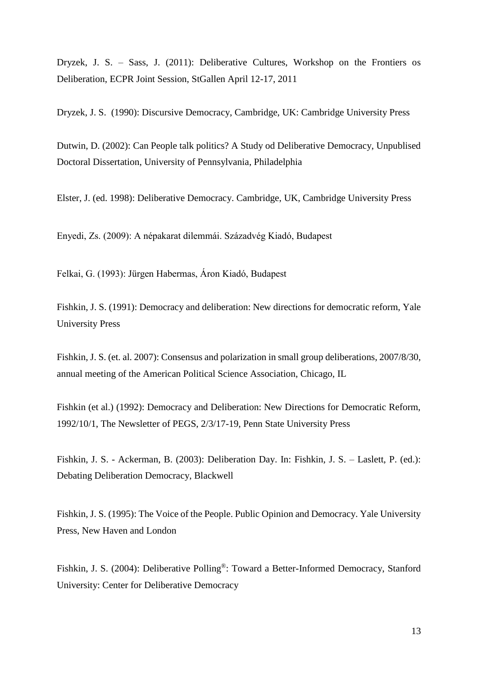Dryzek, J. S. – Sass, J. (2011): Deliberative Cultures, Workshop on the Frontiers os Deliberation, ECPR Joint Session, StGallen April 12-17, 2011

Dryzek, J. S. (1990): Discursive Democracy, Cambridge, UK: Cambridge University Press

Dutwin, D. (2002): Can People talk politics? A Study od Deliberative Democracy, Unpublised Doctoral Dissertation, University of Pennsylvania, Philadelphia

Elster, J. (ed. 1998): Deliberative Democracy. Cambridge, UK, Cambridge University Press

Enyedi, Zs. (2009): A népakarat dilemmái. Századvég Kiadó, Budapest

Felkai, G. (1993): Jürgen Habermas, Áron Kiadó, Budapest

Fishkin, J. S. (1991): Democracy and deliberation: New directions for democratic reform, Yale University Press

Fishkin, J. S. (et. al. 2007): Consensus and polarization in small group deliberations, 2007/8/30, annual meeting of the American Political Science Association, Chicago, IL

Fishkin (et al.) (1992): Democracy and Deliberation: New Directions for Democratic Reform, 1992/10/1, The Newsletter of PEGS, 2/3/17-19, Penn State University Press

Fishkin, J. S. - Ackerman, B. (2003): Deliberation Day. In: Fishkin, J. S. – Laslett, P. (ed.): Debating Deliberation Democracy, Blackwell

Fishkin, J. S. (1995): The Voice of the People. Public Opinion and Democracy. Yale University Press, New Haven and London

Fishkin, J. S. (2004): Deliberative Polling®: Toward a Better-Informed Democracy, Stanford University: Center for Deliberative Democracy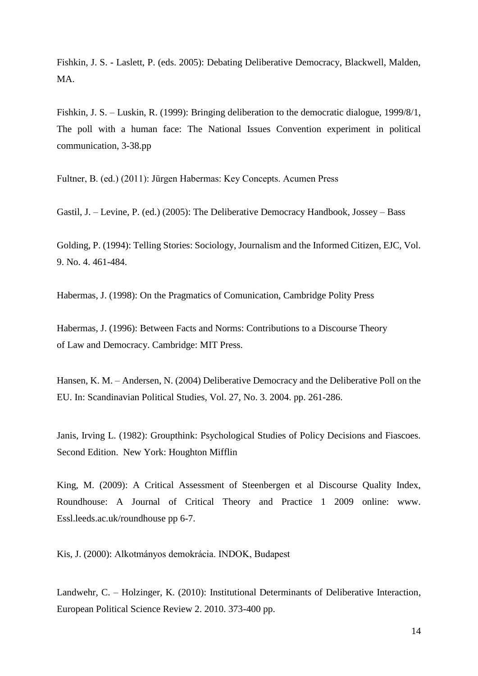Fishkin, J. S. - Laslett, P. (eds. 2005): Debating Deliberative Democracy, Blackwell, Malden, MA.

Fishkin, J. S. – Luskin, R. (1999): Bringing deliberation to the democratic dialogue, 1999/8/1, The poll with a human face: The National Issues Convention experiment in political communication, 3-38.pp

Fultner, B. (ed.) (2011): Jürgen Habermas: Key Concepts. Acumen Press

Gastil, J. – Levine, P. (ed.) (2005): The Deliberative Democracy Handbook, Jossey – Bass

Golding, P. (1994): Telling Stories: Sociology, Journalism and the Informed Citizen, EJC, Vol. 9. No. 4. 461-484.

Habermas, J. (1998): On the Pragmatics of Comunication, Cambridge Polity Press

Habermas, J. (1996): Between Facts and Norms: Contributions to a Discourse Theory of Law and Democracy. Cambridge: MIT Press.

Hansen, K. M. – Andersen, N. (2004) Deliberative Democracy and the Deliberative Poll on the EU. In: Scandinavian Political Studies, Vol. 27, No. 3. 2004. pp. 261-286.

Janis, Irving L. (1982): Groupthink: Psychological Studies of Policy Decisions and Fiascoes. Second Edition. New York: Houghton Mifflin

King, M. (2009): A Critical Assessment of Steenbergen et al Discourse Quality Index, Roundhouse: A Journal of Critical Theory and Practice 1 2009 online: www. Essl.leeds.ac.uk/roundhouse pp 6-7.

Kis, J. (2000): Alkotmányos demokrácia. INDOK, Budapest

Landwehr, C. – Holzinger, K. (2010): Institutional Determinants of Deliberative Interaction, European Political Science Review 2. 2010. 373-400 pp.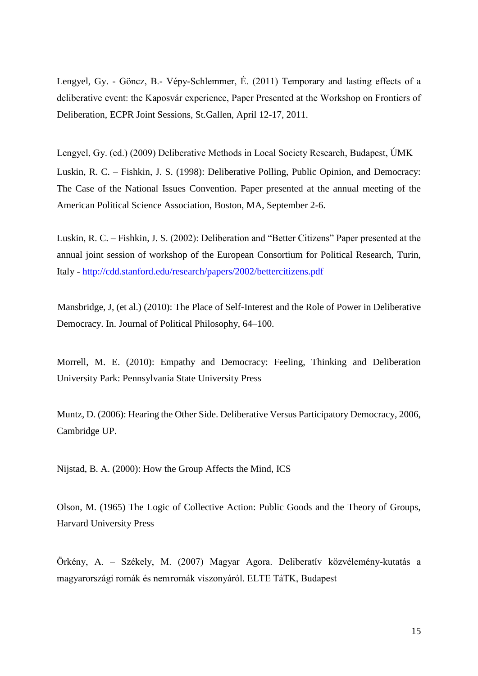Lengyel, Gy. - Göncz, B.- Vépy-Schlemmer, É. (2011) Temporary and lasting effects of a deliberative event: the Kaposvár experience, Paper Presented at the Workshop on Frontiers of Deliberation, ECPR Joint Sessions, St.Gallen, April 12-17, 2011.

Lengyel, Gy. (ed.) (2009) Deliberative Methods in Local Society Research, Budapest, ÚMK Luskin, R. C. – Fishkin, J. S. (1998): Deliberative Polling, Public Opinion, and Democracy: The Case of the National Issues Convention. Paper presented at the annual meeting of the American Political Science Association, Boston, MA, September 2-6.

Luskin, R. C. – Fishkin, J. S. (2002): Deliberation and "Better Citizens" Paper presented at the annual joint session of workshop of the European Consortium for Political Research, Turin, Italy - <http://cdd.stanford.edu/research/papers/2002/bettercitizens.pdf>

Mansbridge, J, (et al.) (2010): The Place of Self-Interest and the Role of Power in Deliberative Democracy. In. Journal of Political Philosophy, 64–100.

Morrell, M. E. (2010): Empathy and Democracy: Feeling, Thinking and Deliberation University Park: Pennsylvania State University Press

Muntz, D. (2006): Hearing the Other Side. Deliberative Versus Participatory Democracy, 2006, Cambridge UP.

Nijstad, B. A. (2000): How the Group Affects the Mind, ICS

Olson, M. (1965) The Logic of Collective Action: Public Goods and the Theory of Groups, Harvard University Press

Örkény, A. – Székely, M. (2007) Magyar Agora. Deliberatív közvélemény-kutatás a magyarországi romák és nemromák viszonyáról. ELTE TáTK, Budapest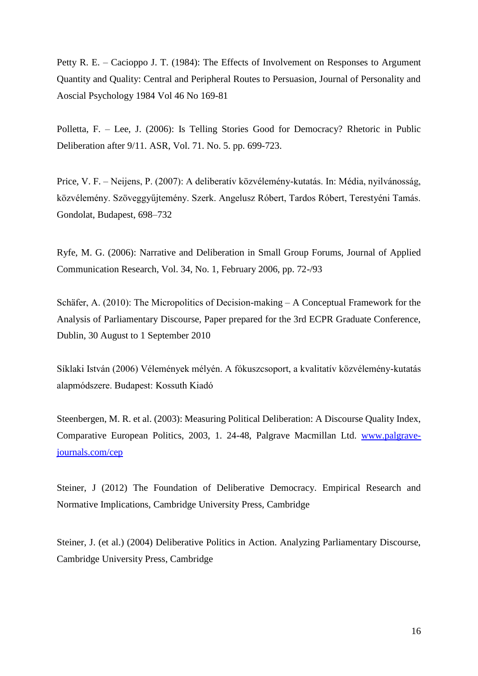Petty R. E. – Cacioppo J. T. (1984): The Effects of Involvement on Responses to Argument Quantity and Quality: Central and Peripheral Routes to Persuasion, Journal of Personality and Aoscial Psychology 1984 Vol 46 No 169-81

Polletta, F. – Lee, J. (2006): Is Telling Stories Good for Democracy? Rhetoric in Public Deliberation after 9/11. ASR, Vol. 71. No. 5. pp. 699-723.

Price, V. F. – Neijens, P. (2007): A deliberatív közvélemény-kutatás. In: Média, nyilvánosság, közvélemény. Szöveggyűjtemény. Szerk. Angelusz Róbert, Tardos Róbert, Terestyéni Tamás. Gondolat, Budapest, 698–732

Ryfe, M. G. (2006): Narrative and Deliberation in Small Group Forums, Journal of Applied Communication Research, Vol. 34, No. 1, February 2006, pp. 72-/93

Schäfer, A. (2010): The Micropolitics of Decision-making – A Conceptual Framework for the Analysis of Parliamentary Discourse, Paper prepared for the 3rd ECPR Graduate Conference, Dublin, 30 August to 1 September 2010

Síklaki István (2006) Vélemények mélyén. A fókuszcsoport, a kvalitatív közvélemény-kutatás alapmódszere. Budapest: Kossuth Kiadó

Steenbergen, M. R. et al. (2003): Measuring Political Deliberation: A Discourse Quality Index, Comparative European Politics, 2003, 1. 24-48, Palgrave Macmillan Ltd. [www.palgrave](http://www.palgrave-journals.com/cep)[journals.com/cep](http://www.palgrave-journals.com/cep)

Steiner, J (2012) The Foundation of Deliberative Democracy. Empirical Research and Normative Implications, Cambridge University Press, Cambridge

Steiner, J. (et al.) (2004) Deliberative Politics in Action. Analyzing Parliamentary Discourse, Cambridge University Press, Cambridge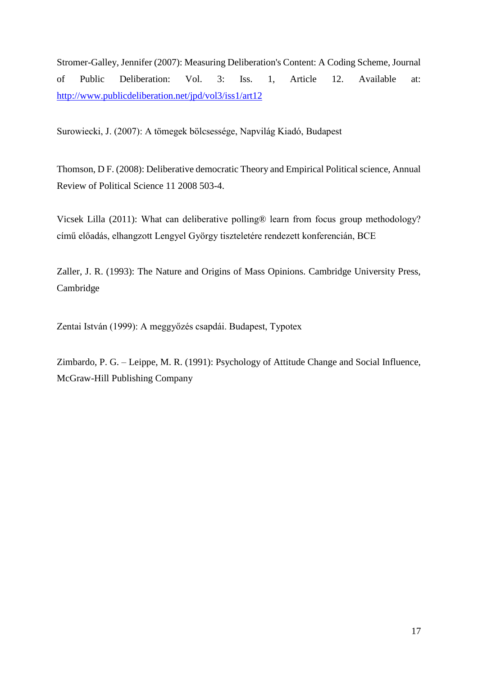Stromer-Galley, Jennifer (2007): Measuring Deliberation's Content: A Coding Scheme, Journal of Public Deliberation: Vol. 3: Iss. 1, Article 12. Available at: <http://www.publicdeliberation.net/jpd/vol3/iss1/art12>

Surowiecki, J. (2007): A tömegek bölcsessége, Napvilág Kiadó, Budapest

Thomson, D F. (2008): Deliberative democratic Theory and Empirical Political science, Annual Review of Political Science 11 2008 503-4.

Vicsek Lilla (2011): What can deliberative polling® learn from focus group methodology? című előadás, elhangzott Lengyel György tiszteletére rendezett konferencián, BCE

Zaller, J. R. (1993): The Nature and Origins of Mass Opinions. Cambridge University Press, Cambridge

Zentai István (1999): A meggyőzés csapdái. Budapest, Typotex

Zimbardo, P. G. – Leippe, M. R. (1991): Psychology of Attitude Change and Social Influence, McGraw-Hill Publishing Company